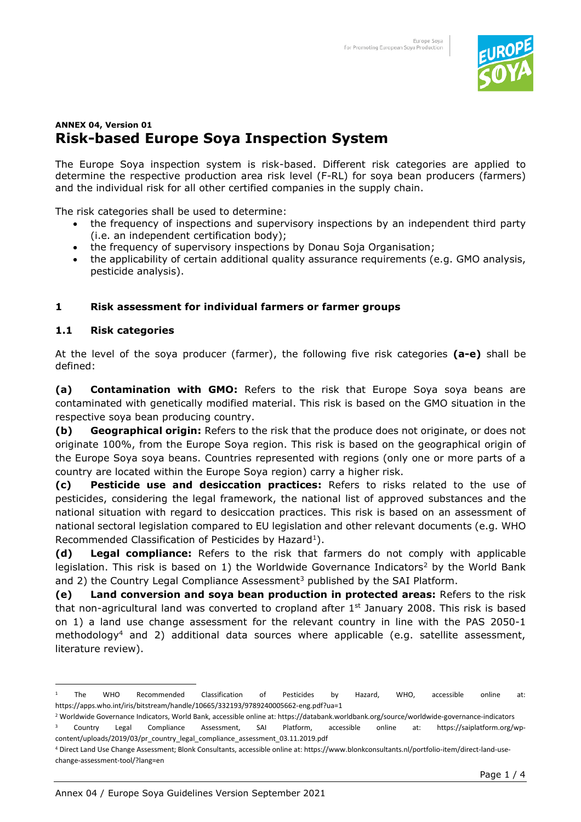

# **ANNEX 04, Version 01 Risk-based Europe Soya Inspection System**

The Europe Soya inspection system is risk-based. Different risk categories are applied to determine the respective production area risk level (F-RL) for soya bean producers (farmers) and the individual risk for all other certified companies in the supply chain.

The risk categories shall be used to determine:

- the frequency of inspections and supervisory inspections by an independent third party (i.e. an independent certification body);
- the frequency of supervisory inspections by Donau Soja Organisation;
- the applicability of certain additional quality assurance requirements (e.g. GMO analysis, pesticide analysis).

## **1 Risk assessment for individual farmers or farmer groups**

## **1.1 Risk categories**

At the level of the soya producer (farmer), the following five risk categories **(a-e)** shall be defined:

**(a) Contamination with GMO:** Refers to the risk that Europe Soya soya beans are contaminated with genetically modified material. This risk is based on the GMO situation in the respective soya bean producing country.

**(b) Geographical origin:** Refers to the risk that the produce does not originate, or does not originate 100%, from the Europe Soya region. This risk is based on the geographical origin of the Europe Soya soya beans. Countries represented with regions (only one or more parts of a country are located within the Europe Soya region) carry a higher risk.

**(c) Pesticide use and desiccation practices:** Refers to risks related to the use of pesticides, considering the legal framework, the national list of approved substances and the national situation with regard to desiccation practices. This risk is based on an assessment of national sectoral legislation compared to EU legislation and other relevant documents (e.g. WHO Recommended Classification of Pesticides by Hazard<sup>1</sup>).

**(d) Legal compliance:** Refers to the risk that farmers do not comply with applicable legislation. This risk is based on 1) the Worldwide Governance Indicators<sup>2</sup> by the World Bank and 2) the Country Legal Compliance Assessment<sup>3</sup> published by the SAI Platform.

**(e) Land conversion and soya bean production in protected areas:** Refers to the risk that non-agricultural land was converted to cropland after  $1<sup>st</sup>$  January 2008. This risk is based on 1) a land use change assessment for the relevant country in line with the PAS 2050-1 methodology<sup>4</sup> and 2) additional data sources where applicable (e.g. satellite assessment, literature review).

<sup>1</sup> The WHO Recommended Classification of Pesticides by Hazard, WHO, accessible online at: <https://apps.who.int/iris/bitstream/handle/10665/332193/9789240005662-eng.pdf?ua=1>

<sup>2</sup> Worldwide Governance Indicators, World Bank, accessible online at[: https://databank.worldbank.org/source/worldwide-governance-indicators](https://databank.worldbank.org/source/worldwide-governance-indicators) 

<sup>3</sup> Country Legal Compliance Assessment, SAI Platform, accessible online at: [https://saiplatform.org/wp](https://saiplatform.org/wp-content/uploads/2019/03/pr_country_legal_compliance_assessment_03.11.2019.pdf)[content/uploads/2019/03/pr\\_country\\_legal\\_compliance\\_assessment\\_03.11.2019.pdf](https://saiplatform.org/wp-content/uploads/2019/03/pr_country_legal_compliance_assessment_03.11.2019.pdf) 

<sup>4</sup> Direct Land Use Change Assessment; Blonk Consultants, accessible online at[: https://www.blonkconsultants.nl/portfolio-item/direct-land-use](https://www.blonkconsultants.nl/portfolio-item/direct-land-use-change-assessment-tool/?lang=en)[change-assessment-tool/?lang=en](https://www.blonkconsultants.nl/portfolio-item/direct-land-use-change-assessment-tool/?lang=en)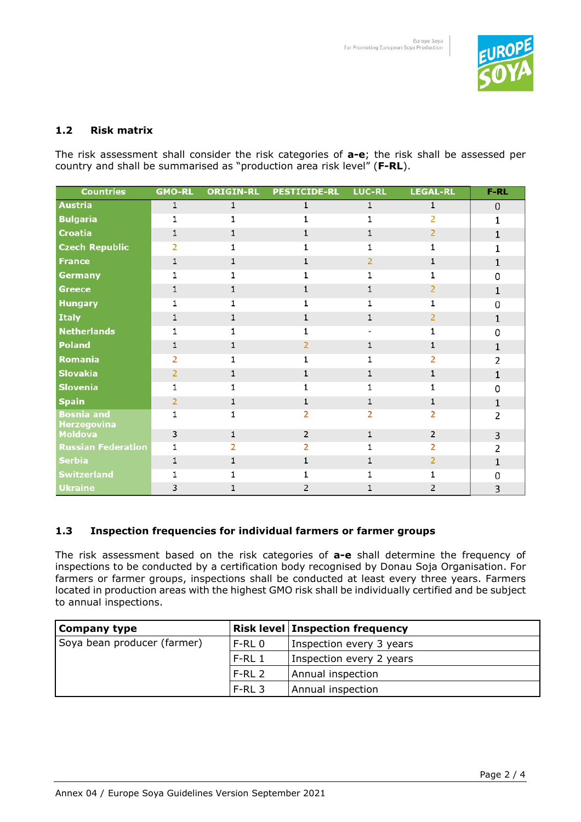

## **1.2 Risk matrix**

The risk assessment shall consider the risk categories of **a-e**; the risk shall be assessed per country and shall be summarised as "production area risk level" (**F-RL**).

| <b>Countries</b>                        | <b>GMO-RL</b>  | <b>ORIGIN-RL</b> | <b>PESTICIDE-RL LUC-RL</b> |   | <b>LEGAL-RL</b> | $F-RL$       |
|-----------------------------------------|----------------|------------------|----------------------------|---|-----------------|--------------|
| <b>Austria</b>                          | 1              |                  | 1                          |   |                 | $\mathbf 0$  |
| <b>Bulgaria</b>                         |                |                  |                            |   |                 | 1            |
| <b>Croatia</b>                          |                |                  |                            |   | 2               | 1            |
| <b>Czech Republic</b>                   | $\overline{2}$ |                  |                            |   |                 |              |
| <b>France</b>                           |                |                  |                            | 2 |                 |              |
| <b>Germany</b>                          |                |                  |                            |   |                 | o            |
| <b>Greece</b>                           |                |                  |                            |   |                 |              |
| <b>Hungary</b>                          |                |                  |                            |   |                 | n            |
| <b>Italy</b>                            |                |                  |                            |   | 2               | 1            |
| <b>Netherlands</b>                      |                |                  |                            |   |                 | <sup>0</sup> |
| <b>Poland</b>                           |                |                  |                            |   | 1               | 1            |
| Romania                                 | 2              |                  |                            |   |                 | 2            |
| <b>Slovakia</b>                         | 2              |                  |                            |   | 1               | 1            |
| <b>Slovenia</b>                         |                |                  |                            |   |                 | 0            |
| <b>Spain</b>                            | 2              |                  | 1                          |   | 1               | 1            |
| <b>Bosnia</b> and<br><b>Herzegovina</b> |                |                  |                            | 2 | 2               | 2            |
| <b>Moldova</b>                          | 3              |                  | $\overline{2}$             |   | $\overline{2}$  | 3            |
| <b>Russian Federation</b>               | 1              |                  |                            |   | 2               | 2            |
| <b>Serbia</b>                           |                |                  |                            |   | 2               | 1            |
| <b>Switzerland</b>                      |                |                  |                            |   |                 | n            |
| <b>Ukraine</b>                          | 3              |                  |                            |   | 2               | 3            |

## **1.3 Inspection frequencies for individual farmers or farmer groups**

The risk assessment based on the risk categories of **a-e** shall determine the frequency of inspections to be conducted by a certification body recognised by Donau Soja Organisation. For farmers or farmer groups, inspections shall be conducted at least every three years. Farmers located in production areas with the highest GMO risk shall be individually certified and be subject to annual inspections.

| Company type                |          | <b>Risk level   Inspection frequency</b> |
|-----------------------------|----------|------------------------------------------|
| Soya bean producer (farmer) | F-RL 0   | Inspection every 3 years                 |
|                             | $F-RL_1$ | Inspection every 2 years                 |
|                             | $F-RL$ 2 | Annual inspection                        |
|                             | F-RL 3   | Annual inspection                        |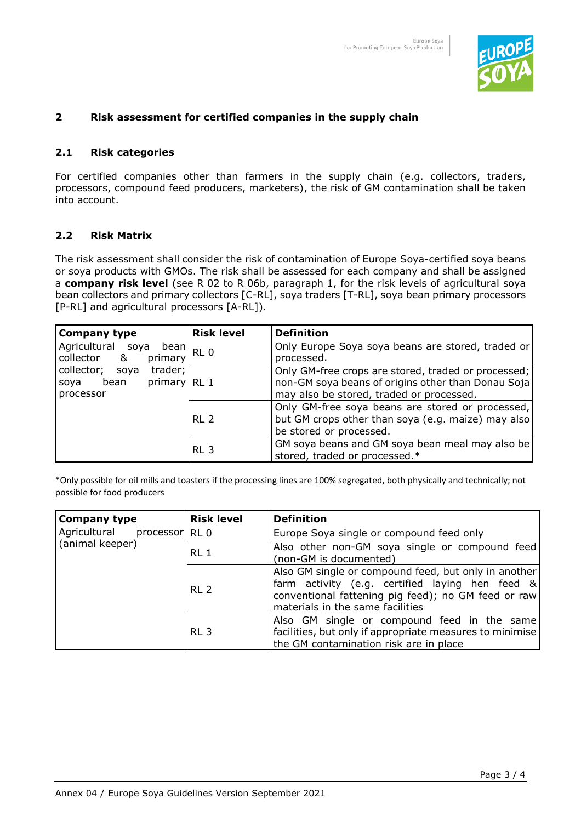

## **2 Risk assessment for certified companies in the supply chain**

## **2.1 Risk categories**

For certified companies other than farmers in the supply chain (e.g. collectors, traders, processors, compound feed producers, marketers), the risk of GM contamination shall be taken into account.

## **2.2 Risk Matrix**

The risk assessment shall consider the risk of contamination of Europe Soya-certified soya beans or soya products with GMOs. The risk shall be assessed for each company and shall be assigned a **company risk level** (see R 02 to R 06b, paragraph 1, for the risk levels of agricultural soya bean collectors and primary collectors [C-RL], soya traders [T-RL], soya bean primary processors [P-RL] and agricultural processors [A-RL]).

| <b>Company type</b>                                                                                                               | <b>Risk level</b> | <b>Definition</b>                                                                                                                                     |
|-----------------------------------------------------------------------------------------------------------------------------------|-------------------|-------------------------------------------------------------------------------------------------------------------------------------------------------|
| Agricultural soya<br>bean<br>collector &<br>primary<br>collector;<br>trader;<br>soya<br>bean<br>primary RL 1<br>soya<br>processor | RL <sub>0</sub>   | Only Europe Soya soya beans are stored, traded or<br>processed.                                                                                       |
|                                                                                                                                   |                   | Only GM-free crops are stored, traded or processed;<br>non-GM soya beans of origins other than Donau Soja<br>may also be stored, traded or processed. |
|                                                                                                                                   | RL <sub>2</sub>   | Only GM-free soya beans are stored or processed,<br>but GM crops other than soya (e.g. maize) may also<br>be stored or processed.                     |
|                                                                                                                                   | RL <sub>3</sub>   | GM soya beans and GM soya bean meal may also be<br>stored, traded or processed.*                                                                      |

\*Only possible for oil mills and toasters if the processing lines are 100% segregated, both physically and technically; not possible for food producers

| <b>Company type</b>         | <b>Risk level</b> | <b>Definition</b>                                                                                                                                                                                  |  |  |
|-----------------------------|-------------------|----------------------------------------------------------------------------------------------------------------------------------------------------------------------------------------------------|--|--|
| Agricultural processor RL 0 |                   | Europe Soya single or compound feed only                                                                                                                                                           |  |  |
| (animal keeper)             | RL <sub>1</sub>   | Also other non-GM soya single or compound feed<br>(non-GM is documented)                                                                                                                           |  |  |
|                             | RL <sub>2</sub>   | Also GM single or compound feed, but only in another<br>farm activity (e.g. certified laying hen feed &<br>conventional fattening pig feed); no GM feed or raw<br>materials in the same facilities |  |  |
|                             | RL <sub>3</sub>   | Also GM single or compound feed in the same<br>facilities, but only if appropriate measures to minimise<br>the GM contamination risk are in place                                                  |  |  |